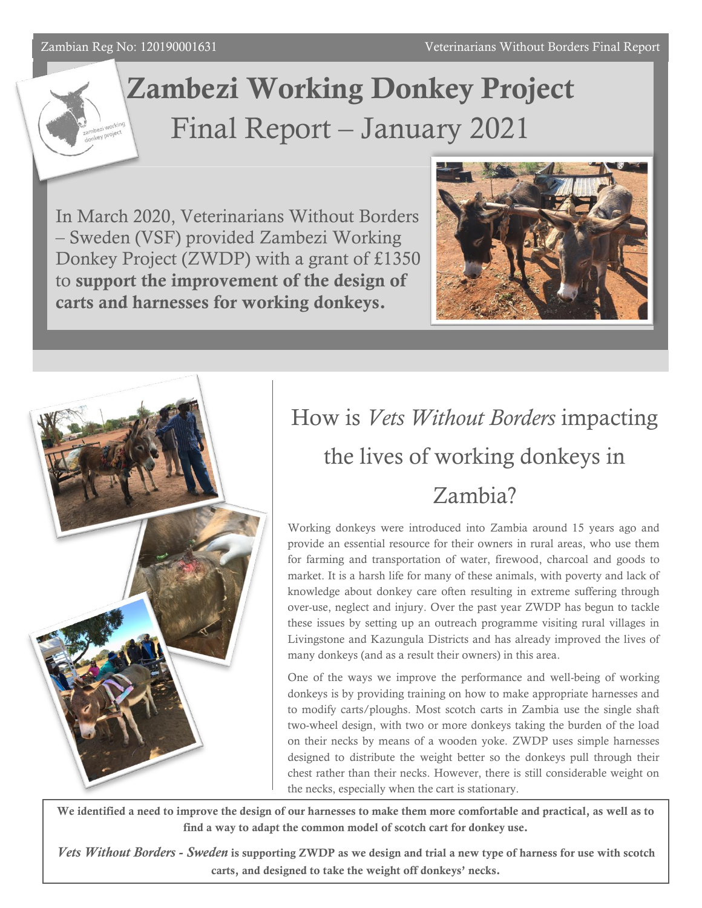#### Zambian Reg No: 120190001631

# Zambezi Working Donkey Project Final Report – January 2021

In March 2020, Veterinarians Without Borders – Sweden (VSF) provided Zambezi Working Donkey Project (ZWDP) with a grant of £1350 to support the improvement of the design of carts and harnesses for working donkeys.





## How is *Vets Without Borders* impacting the lives of working donkeys in Zambia?

Working donkeys were introduced into Zambia around 15 years ago and provide an essential resource for their owners in rural areas, who use them for farming and transportation of water, firewood, charcoal and goods to market. It is a harsh life for many of these animals, with poverty and lack of knowledge about donkey care often resulting in extreme suffering through over-use, neglect and injury. Over the past year ZWDP has begun to tackle these issues by setting up an outreach programme visiting rural villages in Livingstone and Kazungula Districts and has already improved the lives of many donkeys (and as a result their owners) in this area.

One of the ways we improve the performance and well-being of working donkeys is by providing training on how to make appropriate harnesses and to modify carts/ploughs. Most scotch carts in Zambia use the single shaft two-wheel design, with two or more donkeys taking the burden of the load on their necks by means of a wooden yoke. ZWDP uses simple harnesses designed to distribute the weight better so the donkeys pull through their chest rather than their necks. However, there is still considerable weight on the necks, especially when the cart is stationary.

We identified a need to improve the design of our harnesses to make them more comfortable and practical, as well as to find a way to adapt the common model of scotch cart for donkey use.

*Vets Without Borders - Sweden* is supporting ZWDP as we design and trial a new type of harness for use with scotch carts, and designed to take the weight off donkeys' necks.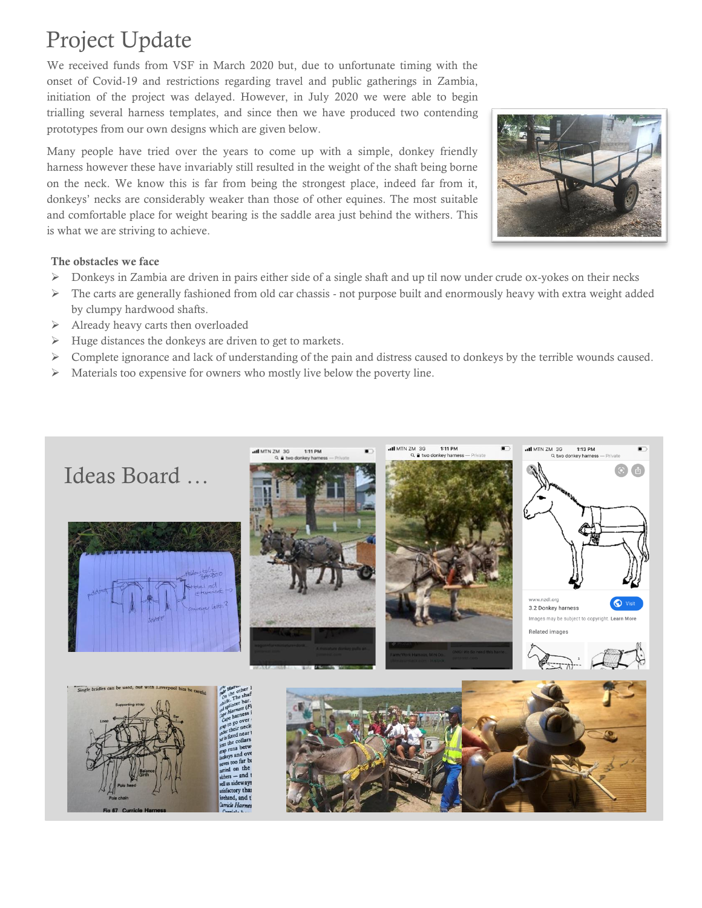## Project Update

We received funds from VSF in March 2020 but, due to unfortunate timing with the onset of Covid-19 and restrictions regarding travel and public gatherings in Zambia, initiation of the project was delayed. However, in July 2020 we were able to begin trialling several harness templates, and since then we have produced two contending prototypes from our own designs which are given below.

Many people have tried over the years to come up with a simple, donkey friendly harness however these have invariably still resulted in the weight of the shaft being borne on the neck. We know this is far from being the strongest place, indeed far from it, donkeys' necks are considerably weaker than those of other equines. The most suitable and comfortable place for weight bearing is the saddle area just behind the withers. This is what we are striving to achieve.



#### The obstacles we face

- $\triangleright$  Donkeys in Zambia are driven in pairs either side of a single shaft and up til now under crude ox-yokes on their necks
- ➢ The carts are generally fashioned from old car chassis not purpose built and enormously heavy with extra weight added by clumpy hardwood shafts.
- ➢ Already heavy carts then overloaded
- ➢ Huge distances the donkeys are driven to get to markets.
- ➢ Complete ignorance and lack of understanding of the pain and distress caused to donkeys by the terrible wounds caused.
- ➢ Materials too expensive for owners who mostly live below the poverty line.

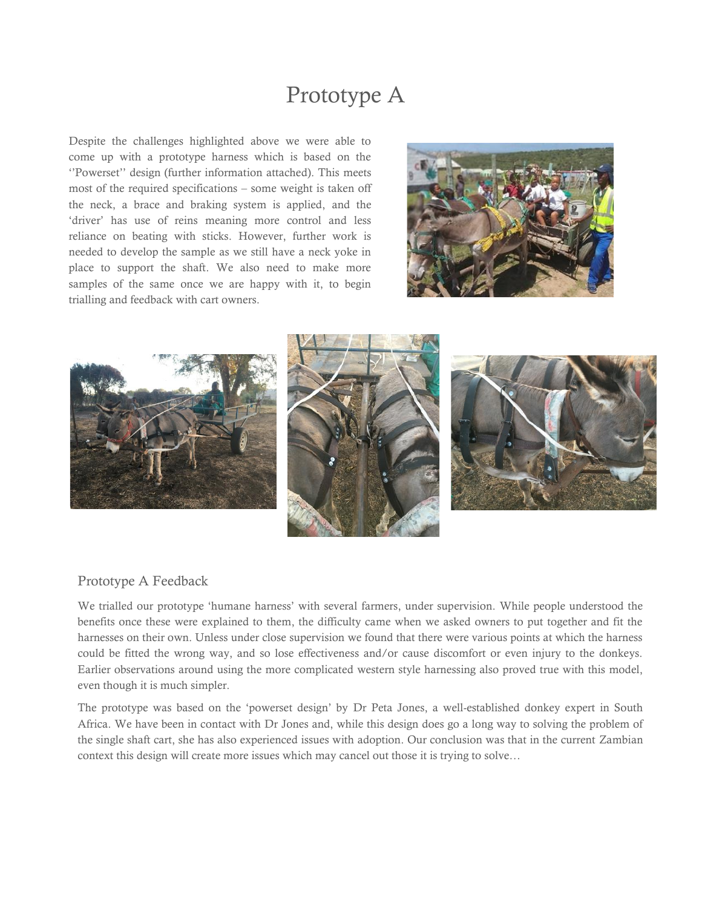### Prototype A

Despite the challenges highlighted above we were able to come up with a prototype harness which is based on the ''Powerset'' design (further information attached). This meets most of the required specifications – some weight is taken off the neck, a brace and braking system is applied, and the 'driver' has use of reins meaning more control and less reliance on beating with sticks. However, further work is needed to develop the sample as we still have a neck yoke in place to support the shaft. We also need to make more samples of the same once we are happy with it, to begin trialling and feedback with cart owners.





#### Prototype A Feedback

We trialled our prototype 'humane harness' with several farmers, under supervision. While people understood the benefits once these were explained to them, the difficulty came when we asked owners to put together and fit the harnesses on their own. Unless under close supervision we found that there were various points at which the harness could be fitted the wrong way, and so lose effectiveness and/or cause discomfort or even injury to the donkeys. Earlier observations around using the more complicated western style harnessing also proved true with this model, even though it is much simpler.

The prototype was based on the 'powerset design' by Dr Peta Jones, a well-established donkey expert in South Africa. We have been in contact with Dr Jones and, while this design does go a long way to solving the problem of the single shaft cart, she has also experienced issues with adoption. Our conclusion was that in the current Zambian context this design will create more issues which may cancel out those it is trying to solve…